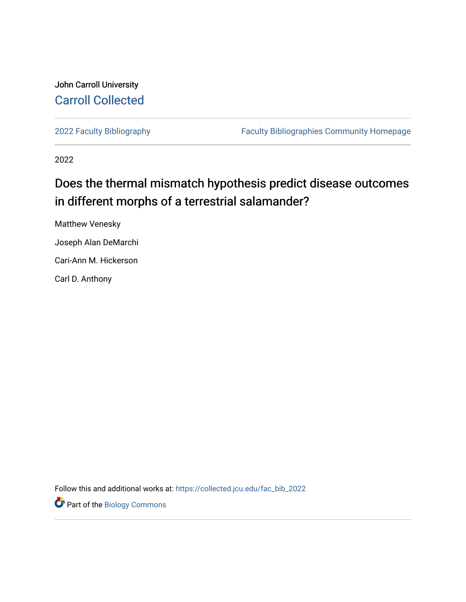# John Carroll University [Carroll Collected](https://collected.jcu.edu/)

[2022 Faculty Bibliography](https://collected.jcu.edu/fac_bib_2022) [Faculty Bibliographies Community Homepage](https://collected.jcu.edu/fac_bib_home) 

2022

# Does the thermal mismatch hypothesis predict disease outcomes in different morphs of a terrestrial salamander?

Matthew Venesky Joseph Alan DeMarchi Cari-Ann M. Hickerson Carl D. Anthony

Follow this and additional works at: [https://collected.jcu.edu/fac\\_bib\\_2022](https://collected.jcu.edu/fac_bib_2022?utm_source=collected.jcu.edu%2Ffac_bib_2022%2F10&utm_medium=PDF&utm_campaign=PDFCoverPages) 

**Part of the Biology Commons**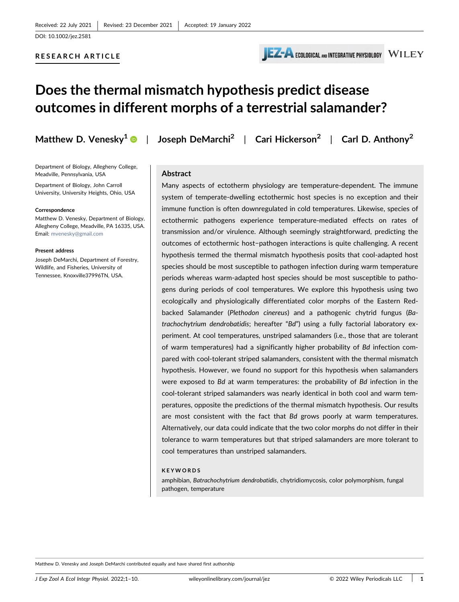

# Does the thermal mismatch hypothesis predict disease outcomes in different morphs of a terrestrial salamander?

Department of Biology, Allegheny College, Meadville, Pennsylvania, USA

Department of Biology, John Carroll University, University Heights, Ohio, USA

#### **Correspondence**

Matthew D. Venesky, Department of Biology, Allegheny College, Meadville, PA 16335, USA. Email: [mvenesky@gmail.com](mailto:mvenesky@gmail.com)

#### Present address

Joseph DeMarchi, Department of Forestry, Wildlife, and Fisheries, University of Tennessee, Knoxville37996TN, USA.

Matthew D. Venesky<sup>1</sup>  $\bullet$  | Joseph DeMarchi<sup>2</sup> | Cari Hickerson<sup>2</sup> | Carl D. Anthony<sup>2</sup>

# Abstract

Many aspects of ectotherm physiology are temperature‐dependent. The immune system of temperate-dwelling ectothermic host species is no exception and their immune function is often downregulated in cold temperatures. Likewise, species of ectothermic pathogens experience temperature‐mediated effects on rates of transmission and/or virulence. Although seemingly straightforward, predicting the outcomes of ectothermic host−pathogen interactions is quite challenging. A recent hypothesis termed the thermal mismatch hypothesis posits that cool‐adapted host species should be most susceptible to pathogen infection during warm temperature periods whereas warm‐adapted host species should be most susceptible to pathogens during periods of cool temperatures. We explore this hypothesis using two ecologically and physiologically differentiated color morphs of the Eastern Red‐ backed Salamander (Plethodon cinereus) and a pathogenic chytrid fungus (Batrachochytrium dendrobatidis; hereafter "Bd") using a fully factorial laboratory experiment. At cool temperatures, unstriped salamanders (i.e., those that are tolerant of warm temperatures) had a significantly higher probability of Bd infection compared with cool-tolerant striped salamanders, consistent with the thermal mismatch hypothesis. However, we found no support for this hypothesis when salamanders were exposed to Bd at warm temperatures: the probability of Bd infection in the cool‐tolerant striped salamanders was nearly identical in both cool and warm temperatures, opposite the predictions of the thermal mismatch hypothesis. Our results are most consistent with the fact that Bd grows poorly at warm temperatures. Alternatively, our data could indicate that the two color morphs do not differ in their tolerance to warm temperatures but that striped salamanders are more tolerant to cool temperatures than unstriped salamanders.

#### KEYWORDS

amphibian, Batrachochytrium dendrobatidis, chytridiomycosis, color polymorphism, fungal pathogen, temperature

Matthew D. Venesky and Joseph DeMarchi contributed equally and have shared first authorship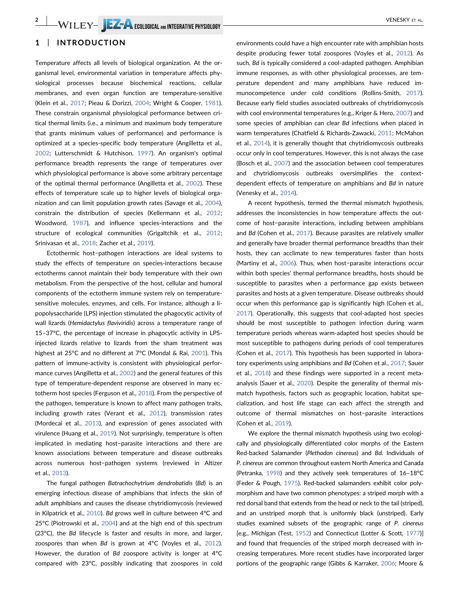## 1 | INTRODUCTION

Temperature affects all levels of biological organization. At the organismal level, environmental variation in temperature affects physiological processes because biochemical reactions, cellular membranes, and even organ function are temperature‐sensitive (Klein et al., [2017;](#page-8-0) Pieau & Dorizzi, [2004;](#page-9-0) Wright & Cooper, [1981](#page-10-0)). These constrain organismal physiological performance between critical thermal limits (i.e., a minimum and maximum body temperature that grants minimum values of performance) and performance is optimized at a species‐specific body temperature (Angilletta et al., [2002](#page-8-1); Lutterschmidt & Hutchison, [1997\)](#page-9-1). An organism's optimal performance breadth represents the range of temperatures over which physiological performance is above some arbitrary percentage of the optimal thermal performance (Angilletta et al., [2002\)](#page-8-1). These effects of temperature scale up to higher levels of biological organization and can limit population growth rates (Savage et al., [2004](#page-9-2)), constrain the distribution of species (Kellermann et al., [2012](#page-8-2); Woodword, [1987\)](#page-10-1), and influence species-interactions and the structure of ecological communities (Grigaltchik et al., [2012](#page-8-3); Srinivasan et al., [2018](#page-9-3); Zacher et al., [2019\)](#page-10-2).

Ectothermic host−pathogen interactions are ideal systems to study the effects of temperature on species‐interactions because ectotherms cannot maintain their body temperature with their own metabolism. From the perspective of the host, cellular and humoral components of the ectotherm immune system rely on temperature‐ sensitive molecules, enzymes, and cells. For instance, although a lipopolysaccharide (LPS) injection stimulated the phagocytic activity of wall lizards (Hemidactylus flaviviridis) across a temperature range of 15–37°C, the percentage of increase in phagocytic activity in LPS‐ injected lizards relative to lizards from the sham treatment was highest at 25°C and no different at 7°C (Mondal & Rai, [2001\)](#page-9-4). This pattern of immune‐activity is consistent with physiological performance curves (Angilletta et al., [2002\)](#page-8-1) and the general features of this type of temperature‐dependent response are observed in many ectotherm host species (Ferguson et al., [2018\)](#page-8-4). From the perspective of the pathogen, temperature is known to affect many pathogen traits, including growth rates (Verant et al., [2012\)](#page-10-3), transmission rates (Mordecai et al., [2013\)](#page-9-5), and expression of genes associated with virulence (Huang et al., [2019](#page-8-5)). Not surprisingly, temperature is often implicated in mediating host−parasite interactions and there are known associations between temperature and disease outbreaks across numerous host−pathogen systems (reviewed in Altizer et al., [2013](#page-7-0)).

The fungal pathogen Batrachochytrium dendrobatidis (Bd) is an emerging infectious disease of amphibians that infects the skin of adult amphibians and causes the disease chytridiomycosis (reviewed in Kilpatrick et al., [2010\)](#page-8-6). Bd grows well in culture between 4°C and 25°C (Piotrowski et al., [2004](#page-9-6)) and at the high end of this spectrum (23°C), the Bd lifecycle is faster and results in more, and larger, zoospores than when Bd is grown at 4°C (Voyles et al., [2012](#page-10-4)). However, the duration of Bd zoospore activity is longer at 4°C compared with 23°C, possibly indicating that zoospores in cold

environments could have a high encounter rate with amphibian hosts despite producing fewer total zoospores (Voyles et al., [2012\)](#page-10-4). As such, Bd is typically considered a cool‐adapted pathogen. Amphibian immune responses, as with other physiological processes, are temperature dependent and many amphibians have reduced immunocompetence under cold conditions (Rollins‐Smith, [2017\)](#page-9-7). Because early field studies associated outbreaks of chytridiomycosis with cool environmental temperatures (e.g., Kriger & Hero, [2007\)](#page-9-8) and some species of amphibian can clear Bd infections when placed in warm temperatures (Chatfield & Richards‐Zawacki, [2011;](#page-8-7) McMahon et al., [2014\)](#page-9-9), it is generally thought that chytridiomycosis outbreaks occur only in cool temperatures. However, this is not always the case (Bosch et al., [2007](#page-8-8)) and the association between cool temperatures and chytridiomycosis outbreaks oversimplifies the contextdependent effects of temperature on amphibians and Bd in nature (Venesky et al., [2014](#page-10-5)).

A recent hypothesis, termed the thermal mismatch hypothesis, addresses the inconsistencies in how temperature affects the outcome of host−parasite interactions, including between amphibians and Bd (Cohen et al., [2017](#page-8-9)). Because parasites are relatively smaller and generally have broader thermal performance breadths than their hosts, they can acclimate to new temperatures faster than hosts (Martiny et al., [2006\)](#page-9-10). Thus, when host−parasite interactions occur within both species' thermal performance breadths, hosts should be susceptible to parasites when a performance gap exists between parasites and hosts at a given temperature. Disease outbreaks should occur when this performance gap is significantly high (Cohen et al., [2017](#page-8-9)). Operationally, this suggests that cool‐adapted host species should be most susceptible to pathogen infection during warm temperature periods whereas warm‐adapted host species should be most susceptible to pathogens during periods of cool temperatures (Cohen et al., [2017](#page-8-9)). This hypothesis has been supported in laboratory experiments using amphibians and Bd (Cohen et al., [2017](#page-8-9); Sauer et al., [2018](#page-9-11)) and these findings were supported in a recent meta‐ analysis (Sauer et al., [2020\)](#page-9-12). Despite the generality of thermal mismatch hypothesis, factors such as geographic location, habitat specialization, and host life stage can each affect the strength and outcome of thermal mismatches on host−parasite interactions (Cohen et al., [2019](#page-8-10)).

We explore the thermal mismatch hypothesis using two ecologically and physiologically differentiated color morphs of the Eastern Red‐backed Salamander (Plethodon cinereus) and Bd. Individuals of P. cinereus are common throughout eastern North America and Canada (Petranka, [1998\)](#page-9-13) and they actively seek temperatures of 16–18°C (Feder & Pough, [1975\)](#page-8-11). Red‐backed salamanders exhibit color polymorphism and have two common phenotypes: a striped morph with a red dorsal band that extends from the head or neck to the tail (striped), and an unstriped morph that is uniformly black (unstriped). Early studies examined subsets of the geographic range of P. cinereus [e.g., Michigan (Test, [1952](#page-9-14)) and Connecticut (Lotter & Scott, [1977](#page-9-15))] and found that frequencies of the striped morph decreased with increasing temperatures. More recent studies have incorporated larger portions of the geographic range (Gibbs & Karraker, [2006;](#page-8-12) Moore &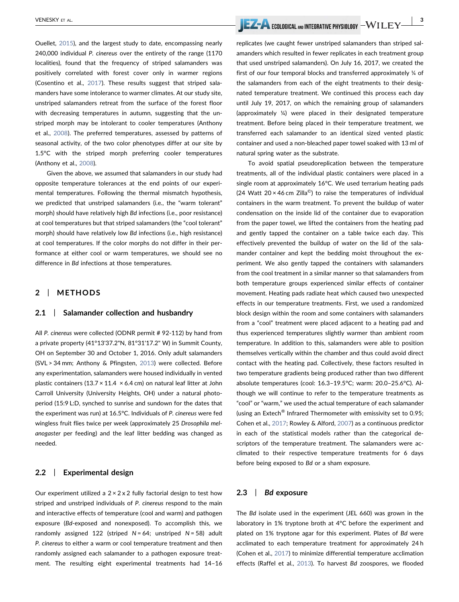Ouellet, [2015](#page-9-16)), and the largest study to date, encompassing nearly 240,000 individual P. cinereus over the entirety of the range (1170 localities), found that the frequency of striped salamanders was positively correlated with forest cover only in warmer regions (Cosentino et al., [2017](#page-8-13)). These results suggest that striped salamanders have some intolerance to warmer climates. At our study site, unstriped salamanders retreat from the surface of the forest floor with decreasing temperatures in autumn, suggesting that the unstriped morph may be intolerant to cooler temperatures (Anthony et al., [2008\)](#page-8-14). The preferred temperatures, assessed by patterns of seasonal activity, of the two color phenotypes differ at our site by 1.5°C with the striped morph preferring cooler temperatures (Anthony et al., [2008](#page-8-14)).

Given the above, we assumed that salamanders in our study had opposite temperature tolerances at the end points of our experimental temperatures. Following the thermal mismatch hypothesis, we predicted that unstriped salamanders (i.e., the "warm tolerant" morph) should have relatively high Bd infections (i.e., poor resistance) at cool temperatures but that striped salamanders (the "cool tolerant" morph) should have relatively low Bd infections (i.e., high resistance) at cool temperatures. If the color morphs do not differ in their performance at either cool or warm temperatures, we should see no difference in Bd infections at those temperatures.

## 2 | METHODS

#### 2.1 Salamander collection and husbandry

All P. cinereus were collected (ODNR permit # 92‐112) by hand from a private property (41°13'37.2"N, 81°31'17.2" W) in Summit County, OH on September 30 and October 1, 2016. Only adult salamanders (SVL > 34 mm; Anthony & Pfingsten, [2013](#page-8-15)) were collected. Before any experimentation, salamanders were housed individually in vented plastic containers (13.7  $\times$  11.4  $\times$  6.4 cm) on natural leaf litter at John Carroll University (University Heights, OH) under a natural photoperiod (15:9 L:D, synched to sunrise and sundown for the dates that the experiment was run) at 16.5°C. Individuals of P. cinereus were fed wingless fruit flies twice per week (approximately 25 Drosophila melanogaster per feeding) and the leaf litter bedding was changed as needed.

### 2.2 | Experimental design

Our experiment utilized a  $2 \times 2 \times 2$  fully factorial design to test how striped and unstriped individuals of P. cinereus respond to the main and interactive effects of temperature (cool and warm) and pathogen exposure (Bd-exposed and nonexposed). To accomplish this, we randomly assigned 122 (striped  $N = 64$ ; unstriped  $N = 58$ ) adult P. cinereus to either a warm or cool temperature treatment and then randomly assigned each salamander to a pathogen exposure treatment. The resulting eight experimental treatments had 14–16

VENESKY ET AL. | 3

replicates (we caught fewer unstriped salamanders than striped salamanders which resulted in fewer replicates in each treatment group that used unstriped salamanders). On July 16, 2017, we created the first of our four temporal blocks and transferred approximately ¼ of the salamanders from each of the eight treatments to their designated temperature treatment. We continued this process each day until July 19, 2017, on which the remaining group of salamanders (approximately ¼) were placed in their designated temperature treatment. Before being placed in their temperature treatment, we transferred each salamander to an identical sized vented plastic container and used a non‐bleached paper towel soaked with 13 ml of natural spring water as the substrate.

To avoid spatial pseudoreplication between the temperature treatments, all of the individual plastic containers were placed in a single room at approximately 16°C. We used terrarium heating pads (24 Watt  $20 \times 46$  cm Zilla<sup>©</sup>) to raise the temperatures of individual containers in the warm treatment. To prevent the buildup of water condensation on the inside lid of the container due to evaporation from the paper towel, we lifted the containers from the heating pad and gently tapped the container on a table twice each day. This effectively prevented the buildup of water on the lid of the salamander container and kept the bedding moist throughout the experiment. We also gently tapped the containers with salamanders from the cool treatment in a similar manner so that salamanders from both temperature groups experienced similar effects of container movement. Heating pads radiate heat which caused two unexpected effects in our temperature treatments. First, we used a randomized block design within the room and some containers with salamanders from a "cool" treatment were placed adjacent to a heating pad and thus experienced temperatures slightly warmer than ambient room temperature. In addition to this, salamanders were able to position themselves vertically within the chamber and thus could avoid direct contact with the heating pad. Collectively, these factors resulted in two temperature gradients being produced rather than two different absolute temperatures (cool: 16.3–19.5°C; warm: 20.0–25.6°C). Although we will continue to refer to the temperature treatments as "cool" or "warm," we used the actual temperature of each salamander (using an Extech® Infrared Thermometer with emissivity set to 0.95; Cohen et al., [2017;](#page-8-9) Rowley & Alford, [2007](#page-9-17)) as a continuous predictor in each of the statistical models rather than the categorical descriptors of the temperature treatment. The salamanders were acclimated to their respective temperature treatments for 6 days before being exposed to Bd or a sham exposure.

### 2.3 | Bd exposure

The Bd isolate used in the experiment (JEL 660) was grown in the laboratory in 1% tryptone broth at 4°C before the experiment and plated on 1% tryptone agar for this experiment. Plates of Bd were acclimated to each temperature treatment for approximately 24 h (Cohen et al., [2017\)](#page-8-9) to minimize differential temperature acclimation effects (Raffel et al., [2013\)](#page-9-18). To harvest Bd zoospores, we flooded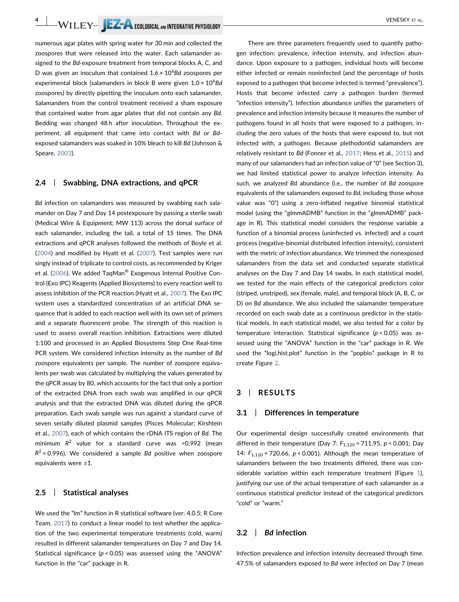# 4 | WILEY- | EZ-A ECOLOGICAL AND INTEGRATIVE PHYSIOLOGY | VENESKY ET AL.

numerous agar plates with spring water for 30 min and collected the zoospores that were released into the water. Each salamander assigned to the Bd-exposure treatment from temporal blocks A, C, and D was given an inoculum that contained  $1.6 \times 10^6$ Bd zoospores per experimental block (salamanders in block B were given 1.0 × 10<sup>6</sup>Bd zoospores) by directly pipetting the inoculum onto each salamander. Salamanders from the control treatment received a sham exposure that contained water from agar plates that did not contain any Bd. Bedding was changed 48 h after inoculation. Throughout the experiment, all equipment that came into contact with Bd or Bdexposed salamanders was soaked in 10% bleach to kill Bd (Johnson & Speare, [2003\)](#page-8-16).

### 2.4 | Swabbing, DNA extractions, and qPCR

Bd infection on salamanders was measured by swabbing each salamander on Day 7 and Day 14 postexposure by passing a sterile swab (Medical Wire & Equipment; MW 113) across the dorsal surface of each salamander, including the tail, a total of 15 times. The DNA extractions and qPCR analyses followed the methods of Boyle et al. ([2004](#page-8-17)) and modified by Hyatt et al. [\(2007\)](#page-8-18). Test samples were run singly instead of triplicate to control costs, as recommended by Kriger et al. [\(2006\)](#page-9-19). We added TaqMan® Exogenous Internal Positive Control (Exo IPC) Reagents (Applied Biosystems) to every reaction well to assess inhibition of the PCR reaction (Hyatt et al., [2007](#page-8-18)). The Exo IPC system uses a standardized concentration of an artificial DNA sequence that is added to each reaction well with its own set of primers and a separate fluorescent probe. The strength of this reaction is used to assess overall reaction inhibition. Extractions were diluted 1:100 and processed in an Applied Biosystems Step One Real‐time PCR system. We considered infection intensity as the number of Bd zoospore equivalents per sample. The number of zoospore equivalents per swab was calculated by multiplying the values generated by the qPCR assay by 80, which accounts for the fact that only a portion of the extracted DNA from each swab was amplified in our qPCR analysis and that the extracted DNA was diluted during the qPCR preparation. Each swab sample was run against a standard curve of seven serially diluted plasmid samples (Pisces Molecular; Kirshtein et al., [2007\)](#page-8-19), each of which contains the rDNA ITS region of Bd. The minimum  $R^2$  value for a standard curve was >0.992 (mean  $R^2$  = 0.996). We considered a sample Bd positive when zoospore equivalents were ≥1.

### 2.5 | Statistical analyses

We used the "lm" function in R statistical software (ver. 4.0.5; R Core Team, [2017](#page-9-20)) to conduct a linear model to test whether the application of the two experimental temperature treatments (cold, warm) resulted in different salamander temperatures on Day 7 and Day 14. Statistical significance ( $p < 0.05$ ) was assessed using the "ANOVA" function in the "car" package in R.

There are three parameters frequently used to quantify pathogen infection: prevalence, infection intensity, and infection abundance. Upon exposure to a pathogen, individual hosts will become either infected or remain noninfected (and the percentage of hosts exposed to a pathogen that become infected is termed "prevalence"). Hosts that become infected carry a pathogen burden (termed "infection intensity"). Infection abundance unifies the parameters of prevalence and infection intensity because it measures the number of pathogens found in all hosts that were exposed to a pathogen, including the zero values of the hosts that were exposed to, but not infected with, a pathogen. Because plethodontid salamanders are relatively resistant to Bd (Fonner et al., [2017;](#page-8-20) Hess et al., [2015\)](#page-8-21) and many of our salamanders had an infection value of "0" (see Section 3), we had limited statistical power to analyze infection intensity. As such, we analyzed Bd abundance (i.e., the number of Bd zoospore equivalents of the salamanders exposed to Bd, including those whose value was "0") using a zero-inflated negative binomial statistical model (using the "glmmADMB" function in the "glmmADMB" package in R). This statistical model considers the response variable a function of a binomial process (uninfected vs. infected) and a count process (negative‐binomial distributed infection intensity), consistent with the metric of infection abundance. We trimmed the nonexposed salamanders from the data set and conducted separate statistical analyses on the Day 7 and Day 14 swabs. In each statistical model, we tested for the main effects of the categorical predictors color (striped, unstriped), sex (female, male), and temporal block (A, B, C, or D) on Bd abundance. We also included the salamander temperature recorded on each swab date as a continuous predictor in the statistical models. In each statistical model, we also tested for a color by temperature interaction. Statistical significance  $(p < 0.05)$  was assessed using the "ANOVA" function in the "car" package in R. We used the "logi.hist.plot" function in the "popbio" package in R to create Figure [2](#page-6-0).

## 3 | RESULTS

#### 3.1 | Differences in temperature

Our experimental design successfully created environments that differed in their temperature (Day 7:  $F_{1,120}$  = 711.95, p < 0.001; Day 14:  $F_{1,120}$  = 720.66, p < 0.001). Although the mean temperature of salamanders between the two treatments differed, there was considerable variation within each temperature treatment (Figure [1\)](#page-5-0), justifying our use of the actual temperature of each salamander as a continuous statistical predictor instead of the categorical predictors "cold" or "warm."

### 3.2 | Bd infection

Infection prevalence and infection intensity decreased through time. 47.5% of salamanders exposed to Bd were infected on Day 7 (mean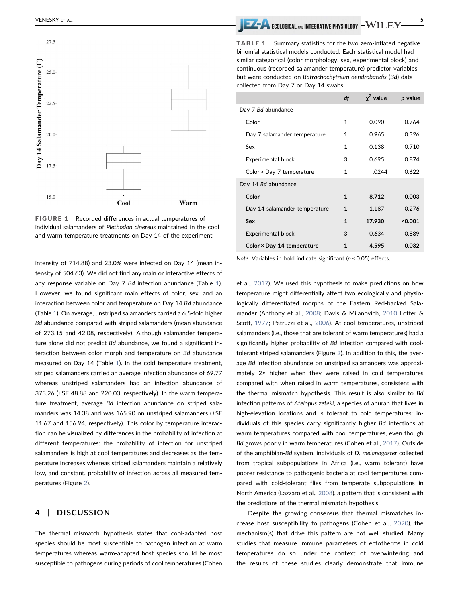<span id="page-5-0"></span>

FIGURE 1 Recorded differences in actual temperatures of individual salamanders of Plethodon cinereus maintained in the cool and warm temperature treatments on Day 14 of the experiment

intensity of 714.88) and 23.0% were infected on Day 14 (mean intensity of 504.63). We did not find any main or interactive effects of any response variable on Day 7 Bd infection abundance (Table [1](#page-5-1)). However, we found significant main effects of color, sex, and an interaction between color and temperature on Day 14 Bd abundance (Table [1\)](#page-5-1). On average, unstriped salamanders carried a 6.5‐fold higher Bd abundance compared with striped salamanders (mean abundance of 273.15 and 42.08, respectively). Although salamander temperature alone did not predict Bd abundance, we found a significant interaction between color morph and temperature on Bd abundance measured on Day 14 (Table [1\)](#page-5-1). In the cold temperature treatment, striped salamanders carried an average infection abundance of 69.77 whereas unstriped salamanders had an infection abundance of 373.26 (±SE 48.88 and 220.03, respectively). In the warm temperature treatment, average Bd infection abundance on striped salamanders was 14.38 and was 165.90 on unstriped salamanders (±SE 11.67 and 156.94, respectively). This color by temperature interaction can be visualized by differences in the probability of infection at different temperatures: the probability of infection for unstriped salamanders is high at cool temperatures and decreases as the temperature increases whereas striped salamanders maintain a relatively low, and constant, probability of infection across all measured temperatures (Figure [2](#page-6-0)).

# 4 | DISCUSSION

The thermal mismatch hypothesis states that cool‐adapted host species should be most susceptible to pathogen infection at warm temperatures whereas warm‐adapted host species should be most susceptible to pathogens during periods of cool temperatures (Cohen

# VENESKY ET AL. **In the second and the second and the second and the second and integrative physiology**

<span id="page-5-1"></span>TABLE 1 Summary statistics for the two zero-inflated negative binomial statistical models conducted. Each statistical model had similar categorical (color morphology, sex, experimental block) and continuous (recorded salamander temperature) predictor variables but were conducted on Batrachochytrium dendrobatidis (Bd) data collected from Day 7 or Day 14 swabs

|                                  | df | $\chi^2$ value | p value |
|----------------------------------|----|----------------|---------|
| Day 7 Bd abundance               |    |                |         |
| Color                            | 1  | 0.090          | 0.764   |
| Day 7 salamander temperature     | 1  | 0.965          | 0.326   |
| Sex                              | 1  | 0.138          | 0.710   |
| <b>Experimental block</b>        | 3  | 0.695          | 0.874   |
| Color $\times$ Day 7 temperature | 1  | .0244          | 0.622   |
| Day 14 Bd abundance              |    |                |         |
| Color                            | 1  | 8.712          | 0.003   |
| Day 14 salamander temperature    | 1  | 1.187          | 0.276   |
| Sex                              | 1  | 17.930         | < 0.001 |
| <b>Experimental block</b>        | 3  | 0.634          | 0.889   |
| Color × Day 14 temperature       | 1  | 4.595          | 0.032   |

Note: Variables in bold indicate significant ( $p < 0.05$ ) effects.

et al., [2017](#page-8-9)). We used this hypothesis to make predictions on how temperature might differentially affect two ecologically and physiologically differentiated morphs of the Eastern Red‐backed Salamander (Anthony et al., [2008](#page-8-14); Davis & Milanovich, [2010](#page-8-22) Lotter & Scott, [1977;](#page-9-15) Petruzzi et al., [2006](#page-9-21)). At cool temperatures, unstriped salamanders (i.e., those that are tolerant of warm temperatures) had a significantly higher probability of Bd infection compared with cooltolerant striped salamanders (Figure [2](#page-6-0)). In addition to this, the average Bd infection abundance on unstriped salamanders was approximately 2× higher when they were raised in cold temperatures compared with when raised in warm temperatures, consistent with the thermal mismatch hypothesis. This result is also similar to Bd infection patterns of Atelopus zeteki, a species of anuran that lives in high-elevation locations and is tolerant to cold temperatures: individuals of this species carry significantly higher Bd infections at warm temperatures compared with cool temperatures, even though Bd grows poorly in warm temperatures (Cohen et al., [2017](#page-8-9)). Outside of the amphibian‐Bd system, individuals of D. melanogaster collected from tropical subpopulations in Africa (i.e., warm tolerant) have poorer resistance to pathogenic bacteria at cool temperatures compared with cold-tolerant flies from temperate subpopulations in North America (Lazzaro et al., [2008\)](#page-9-22), a pattern that is consistent with the predictions of the thermal mismatch hypothesis.

Despite the growing consensus that thermal mismatches increase host susceptibility to pathogens (Cohen et al., [2020\)](#page-8-23), the mechanism(s) that drive this pattern are not well studied. Many studies that measure immune parameters of ectotherms in cold temperatures do so under the context of overwintering and the results of these studies clearly demonstrate that immune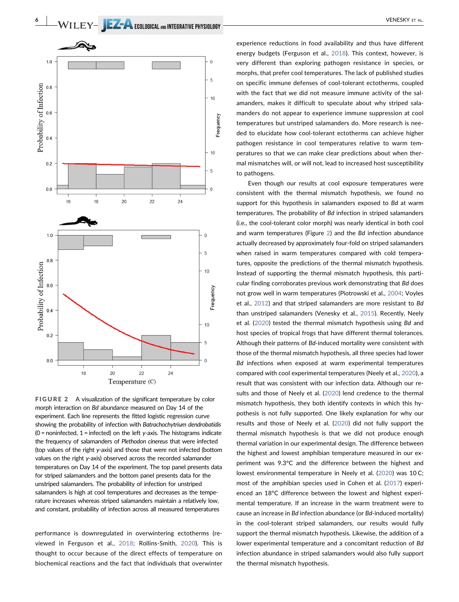<span id="page-6-0"></span>

FIGURE 2 A visualization of the significant temperature by color morph interaction on Bd abundance measured on Day 14 of the experiment. Each line represents the fitted logistic regression curve showing the probability of infection with Batrachochytrium dendrobatidis  $(0 =$  noninfected,  $1 =$  infected) on the left y-axis. The histograms indicate the frequency of salamanders of Plethodon cinereus that were infected (top values of the right y‐axis) and those that were not infected (bottom values on the right y‐axis) observed across the recorded salamander temperatures on Day 14 of the experiment. The top panel presents data for striped salamanders and the bottom panel presents data for the unstriped salamanders. The probability of infection for unstriped salamanders is high at cool temperatures and decreases as the temperature increases whereas striped salamanders maintain a relatively low, and constant, probability of infection across all measured temperatures

performance is downregulated in overwintering ectotherms (reviewed in Ferguson et al., [2018](#page-8-4); Rollins‐Smith, [2020\)](#page-9-23). This is thought to occur because of the direct effects of temperature on biochemical reactions and the fact that individuals that overwinter

experience reductions in food availability and thus have different energy budgets (Ferguson et al., [2018\)](#page-8-4). This context, however, is very different than exploring pathogen resistance in species, or morphs, that prefer cool temperatures. The lack of published studies on specific immune defenses of cool‐tolerant ectotherms, coupled with the fact that we did not measure immune activity of the salamanders, makes it difficult to speculate about why striped salamanders do not appear to experience immune suppression at cool temperatures but unstriped salamanders do. More research is needed to elucidate how cool‐tolerant ectotherms can achieve higher pathogen resistance in cool temperatures relative to warm temperatures so that we can make clear predictions about when thermal mismatches will, or will not, lead to increased host susceptibility to pathogens.

Even though our results at cool exposure temperatures were consistent with the thermal mismatch hypothesis, we found no support for this hypothesis in salamanders exposed to Bd at warm temperatures. The probability of Bd infection in striped salamanders (i.e., the cool‐tolerant color morph) was nearly identical in both cool and warm temperatures (Figure [2\)](#page-6-0) and the Bd infection abundance actually decreased by approximately four‐fold on striped salamanders when raised in warm temperatures compared with cold temperatures, opposite the predictions of the thermal mismatch hypothesis. Instead of supporting the thermal mismatch hypothesis, this particular finding corroborates previous work demonstrating that Bd does not grow well in warm temperatures (Piotrowski et al., [2004](#page-9-6); Voyles et al., [2012](#page-10-4)) and that striped salamanders are more resistant to Bd than unstriped salamanders (Venesky et al., [2015](#page-9-24)). Recently, Neely et al. [\(2020\)](#page-9-25) tested the thermal mismatch hypothesis using Bd and host species of tropical frogs that have different thermal tolerances. Although their patterns of Bd-induced mortality were consistent with those of the thermal mismatch hypothesis, all three species had lower Bd infections when exposed at warm experimental temperatures compared with cool experimental temperatures (Neely et al., [2020\)](#page-9-25), a result that was consistent with our infection data. Although our results and those of Neely et al. [\(2020\)](#page-9-25) lend credence to the thermal mismatch hypothesis, they both identify contexts in which this hypothesis is not fully supported. One likely explanation for why our results and those of Neely et al. ([2020](#page-9-25)) did not fully support the thermal mismatch hypothesis is that we did not produce enough thermal variation in our experimental design. The difference between the highest and lowest amphibian temperature measured in our experiment was 9.3°C and the difference between the highest and lowest environmental temperature in Neely et al. ([2020](#page-9-25)) was 10 C; most of the amphibian species used in Cohen et al. ([2017](#page-8-9)) experienced an 18°C difference between the lowest and highest experimental temperature. If an increase in the warm treatment were to cause an increase in Bd infection abundance (or Bd‐induced mortality) in the cool-tolerant striped salamanders, our results would fully support the thermal mismatch hypothesis. Likewise, the addition of a lower experimental temperature and a concomitant reduction of Bd infection abundance in striped salamanders would also fully support the thermal mismatch hypothesis.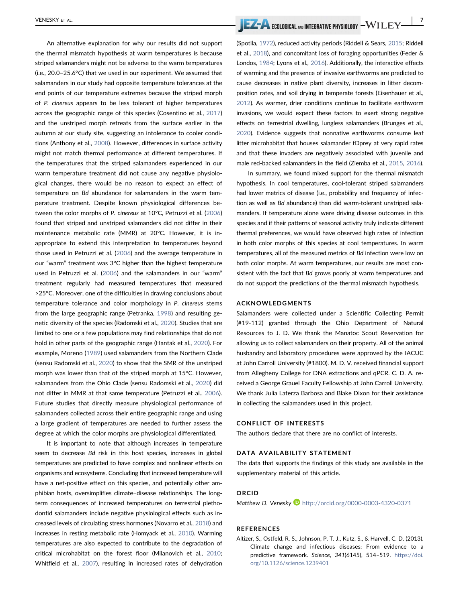An alternative explanation for why our results did not support the thermal mismatch hypothesis at warm temperatures is because striped salamanders might not be adverse to the warm temperatures (i.e., 20.0–25.6°C) that we used in our experiment. We assumed that salamanders in our study had opposite temperature tolerances at the end points of our temperature extremes because the striped morph of P. cinereus appears to be less tolerant of higher temperatures across the geographic range of this species (Cosentino et al., [2017](#page-8-13)) and the unstriped morph retreats from the surface earlier in the autumn at our study site, suggesting an intolerance to cooler conditions (Anthony et al., [2008\)](#page-8-14). However, differences in surface activity might not match thermal performance at different temperatures. If the temperatures that the striped salamanders experienced in our warm temperature treatment did not cause any negative physiological changes, there would be no reason to expect an effect of temperature on Bd abundance for salamanders in the warm temperature treatment. Despite known physiological differences between the color morphs of P. cinereus at 10°C, Petruzzi et al. ([2006](#page-9-21)) found that striped and unstriped salamanders did not differ in their maintenance metabolic rate (MMR) at 20°C. However, it is inappropriate to extend this interpretation to temperatures beyond those used in Petruzzi et al. [\(2006\)](#page-9-21) and the average temperature in our "warm" treatment was 3°C higher than the highest temperature used in Petruzzi et al. [\(2006\)](#page-9-21) and the salamanders in our "warm" treatment regularly had measured temperatures that measured >25°C. Moreover, one of the difficulties in drawing conclusions about temperature tolerance and color morphology in P. cinereus stems from the large geographic range (Petranka, [1998](#page-9-13)) and resulting genetic diversity of the species (Radomski et al., [2020\)](#page-9-26). Studies that are limited to one or a few populations may find relationships that do not hold in other parts of the geographic range (Hantak et al., [2020](#page-8-24)). For example, Moreno [\(1989\)](#page-9-27) used salamanders from the Northern Clade (sensu Radomski et al., [2020\)](#page-9-26) to show that the SMR of the unstriped morph was lower than that of the striped morph at 15°C. However, salamanders from the Ohio Clade (sensu Radomski et al., [2020](#page-9-26)) did not differ in MMR at that same temperature (Petruzzi et al., [2006](#page-9-21)). Future studies that directly measure physiological performance of salamanders collected across their entire geographic range and using a large gradient of temperatures are needed to further assess the degree at which the color morphs are physiological differentiated.

It is important to note that although increases in temperature seem to decrease Bd risk in this host species, increases in global temperatures are predicted to have complex and nonlinear effects on organisms and ecosystems. Concluding that increased temperature will have a net-positive effect on this species, and potentially other amphibian hosts, oversimplifies climate−disease relationships. The long‐ term consequences of increased temperatures on terrestrial plethodontid salamanders include negative physiological effects such as increased levels of circulating stress hormones (Novarro et al., [2018\)](#page-9-28) and increases in resting metabolic rate (Homyack et al., [2010\)](#page-8-25). Warming temperatures are also expected to contribute to the degradation of critical microhabitat on the forest floor (Milanovich et al., [2010](#page-9-29); Whitfield et al., [2007\)](#page-10-6), resulting in increased rates of dehydration

# VENESKY ET AL. | 7

(Spotila, [1972\)](#page-9-30), reduced activity periods (Riddell & Sears, [2015;](#page-9-31) Riddell et al., [2018\)](#page-9-32), and concomitant loss of foraging opportunities (Feder & Londos, [1984;](#page-8-26) Lyons et al., [2016](#page-9-33)). Additionally, the interactive effects of warming and the presence of invasive earthworms are predicted to cause decreases in native plant diversity, increases in litter decomposition rates, and soil drying in temperate forests (Eisenhauer et al., [2012](#page-8-27)). As warmer, drier conditions continue to facilitate earthworm invasions, we would expect these factors to exert strong negative effects on terrestrial dwelling, lungless salamanders (Brunges et al., [2020](#page-8-28)). Evidence suggests that nonnative earthworms consume leaf litter microhabitat that houses salamander fDprey at very rapid rates and that these invaders are negatively associated with juvenile and male red-backed salamanders in the field (Ziemba et al., [2015,](#page-10-7) [2016\)](#page-10-8).

In summary, we found mixed support for the thermal mismatch hypothesis. In cool temperatures, cool-tolerant striped salamanders had lower metrics of disease (i.e., probability and frequency of infection as well as Bd abundance) than did warm‐tolerant unstriped salamanders. If temperature alone were driving disease outcomes in this species and if their patterns of seasonal activity truly indicate different thermal preferences, we would have observed high rates of infection in both color morphs of this species at cool temperatures. In warm temperatures, all of the measured metrics of Bd infection were low on both color morphs. At warm temperatures, our results are most consistent with the fact that Bd grows poorly at warm temperatures and do not support the predictions of the thermal mismatch hypothesis.

#### ACKNOWLEDGMENTS

Salamanders were collected under a Scientific Collecting Permit (#19‐112) granted through the Ohio Department of Natural Resources to J. D. We thank the Manatoc Scout Reservation for allowing us to collect salamanders on their property. All of the animal husbandry and laboratory procedures were approved by the IACUC at John Carroll University (#1800). M. D. V. received financial support from Allegheny College for DNA extractions and qPCR. C. D. A. received a George Grauel Faculty Fellowship at John Carroll University. We thank Julia Laterza Barbosa and Blake Dixon for their assistance in collecting the salamanders used in this project.

#### CONFLICT OF INTERESTS

The authors declare that there are no conflict of interests.

#### DATA AVAILABILITY STATEMENT

The data that supports the findings of this study are available in the supplementary material of this article.

#### ORCID

Matthew D. Venesky **D** <http://orcid.org/0000-0003-4320-0371>

#### REFERENCES

<span id="page-7-0"></span>Altizer, S., Ostfeld, R. S., Johnson, P. T. J., Kutz, S., & Harvell, C. D. (2013). Climate change and infectious diseases: From evidence to a predictive framework. Science, 341(6145), 514-519. [https://doi.](https://doi.org/10.1126/science.1239401) [org/10.1126/science.1239401](https://doi.org/10.1126/science.1239401)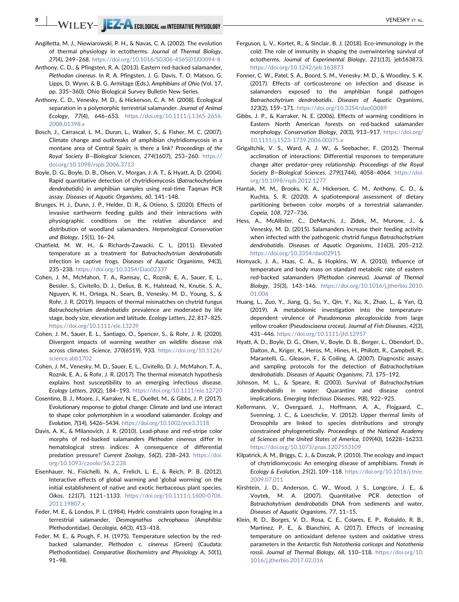$-\mathsf{WIEY-}\parallel$   $\mathsf{EZ-}\blacktriangle$  ecological and integrative physiology  $-\blacksquare$ 

- <span id="page-8-1"></span>Angilletta, M. J., Niewiarowski, P. H., & Navas, C. A. (2002). The evolution of thermal physiology in ectotherms. Journal of Thermal Biology, 27(4), 249–268. [https://doi.org/10.1016/S0306](https://doi.org/10.1016/S0306-4565(01)00094-8)‐4565(01)00094‐8
- <span id="page-8-15"></span>Anthony, C. D., & Pfingsten, R. A. (2013). Eastern red‐backed salamander, Plethodon cinereus. In R. A. Pfingsten, J. G. Davis, T. O. Matson, G. Lipps, D. Wynn, & B. G. Armitage (Eds.), Amphibians of Ohio (Vol. 17, pp. 335−360). Ohio Biological Survey Bulletin New Series.
- <span id="page-8-14"></span>Anthony, C. D., Venesky, M. D., & Hickerson, C. A. M. (2008). Ecological separation in a polymorphic terrestrial salamander. Journal of Animal Ecology, 77(4), 646–653. [https://doi.org/10.1111/j.1365](https://doi.org/10.1111/j.1365-2656.2008.01398.x)‐2656. [2008.01398.x](https://doi.org/10.1111/j.1365-2656.2008.01398.x)
- <span id="page-8-8"></span>Bosch, J., Carrascal, L. M., Duran, L., Walker, S., & Fisher, M. C. (2007). Climate change and outbreaks of amphibian chytridiomycosis in a montane area of Central Spain; is there a link? Proceedings of the Royal Society B—Biological Sciences, 274(1607), 253–260. [https://](https://doi.org/10.1098/rspb.2006.3713) [doi.org/10.1098/rspb.2006.3713](https://doi.org/10.1098/rspb.2006.3713)
- <span id="page-8-17"></span>Boyle, D. G., Boyle, D. B., Olsen, V., Morgan, J. A. T., & Hyatt, A. D. (2004). Rapid quantitative detection of chytridiomycosis (Batrachochytrium dendrobatidis) in amphibian samples using real-time Taqman PCR assay. Diseases of Aquatic Organisms, 60, 141–148.
- <span id="page-8-28"></span>Brunges, H. J., Dunn, J. P., Helder, D. R., & Otieno, S. (2020). Effects of invasive earthworm feeding guilds and their interactions with physiographic conditions on the relative abundance and distribution of woodland salamanders. Herpetological Conservation and Biology, 15(1), 16–24.
- <span id="page-8-7"></span>Chatfield, M. W. H., & Richards‐Zawacki, C. L. (2011). Elevated temperature as a treatment for Batrachochytrium dendrobatidis infection in captive frogs. Diseases of Aquatic Organisms, 94(3), 235–238. <https://doi.org/10.3354/Dao02337>
- <span id="page-8-10"></span>Cohen, J. M., McMahon, T. A., Ramsay, C., Roznik, E. A., Sauer, E. L., Bessler, S., Civitello, D. J., Delius, B. K., Halstead, N., Knutie, S. A., Nguyen, K. H., Ortega, N., Sears, B., Venesky, M. D., Young, S., & Rohr, J. R. (2019). Impacts of thermal mismatches on chytrid fungus Batrachochytrium dendrobatidis prevalence are moderated by life stage, body size, elevation and latitude. Ecology Letters, 22, 817–825. <https://doi.org/10.1111/ele.13239>
- <span id="page-8-23"></span>Cohen, J. M., Sauer, E. L., Santiago, O., Spencer, S., & Rohr, J. R. (2020). Divergent impacts of warming weather on wildlife disease risk across climates. Science, 370(6519), 933. [https://doi.org/10.1126/](https://doi.org/10.1126/science.abb1702) [science.abb1702](https://doi.org/10.1126/science.abb1702)
- <span id="page-8-9"></span>Cohen, J. M., Venesky, M. D., Sauer, E. L., Civitello, D. J., McMahon, T. A., Roznik, E. A., & Rohr, J. R. (2017). The thermal mismatch hypothesis explains host susceptibility to an emerging infectious disease. Ecology Letters, 20(2), 184–193. <https://doi.org/10.1111/ele.12720>
- <span id="page-8-13"></span>Cosentino, B. J., Moore, J., Karraker, N. E., Ouellet, M., & Gibbs, J. P. (2017). Evolutionary response to global change: Climate and land use interact to shape color polymorphism in a woodland salamander. Ecology and Evolution, 7(14), 5426–5434. <https://doi.org/10.1002/ece3.3118>
- <span id="page-8-22"></span>Davis, A. K., & Milanovich, J. R. (2010). Lead‐phase and red‐stripe color morphs of red‐backed salamanders Plethodon cinereus differ in hematological stress indices: A consequence of differential predation pressure? Current Zoology, 56(2), 238-243. [https://doi.](https://doi.org/10.1093/czoolo/56.2.238) [org/10.1093/czoolo/56.2.238](https://doi.org/10.1093/czoolo/56.2.238)
- <span id="page-8-27"></span>Eisenhauer, N., Fisichelli, N. A., Frelich, L. E., & Reich, P. B. (2012). Interactive effects of global warming and 'global worming' on the initial establishment of native and exotic herbaceous plant species. Oikos, 121(7), 1121–1133. [https://doi.org/10.1111/j.1600](https://doi.org/10.1111/j.1600-0706.2011.19807.x)‐0706. [2011.19807.x](https://doi.org/10.1111/j.1600-0706.2011.19807.x)
- <span id="page-8-26"></span>Feder, M. E., & Londos, P. L. (1984). Hydric constraints upon foraging in a terrestrial salamander, Desmognathus ochrophaeus (Amphibia: Plethodontidae). Oecologia, 64(3), 413–418.
- <span id="page-8-11"></span>Feder, M. E., & Pough, F. H. (1975). Temperature selection by the red‐ backed salamander, Plethodon c. cinereus (Green) (Caudata: Plethodontidae). Comparative Biochemistry and Physiology A, 50(1), 91–98.
- <span id="page-8-4"></span>Ferguson, L. V., Kortet, R., & Sinclair, B. J. (2018). Eco‐immunology in the cold: The role of immunity in shaping the overwintering survival of ectotherms. Journal of Experimental Biology, 221(13), jeb163873. <https://doi.org/10.1242/jeb.163873>
- <span id="page-8-20"></span>Fonner, C. W., Patel, S. A., Boord, S. M., Venesky, M. D., & Woodley, S. K. (2017). Effects of corticosterone on infection and disease in salamanders exposed to the amphibian fungal pathogen Batrachochytrium dendrobatidis. Diseases of Aquatic Organisms, 123(2), 159–171. <https://doi.org/10.3354/dao03089>
- <span id="page-8-12"></span>Gibbs, J. P., & Karraker, N. E. (2006). Effects of warming conditions in Eastern North American forests on red-backed salamander morphology. Conservation Biology, 20(3), 913–917. [https://doi.org/](https://doi.org/10.1111/j.1523-1739.2006.00375.x) 10.1111/j.1523‐[1739.2006.00375.x](https://doi.org/10.1111/j.1523-1739.2006.00375.x)
- <span id="page-8-3"></span>Grigaltchik, V. S., Ward, A. J. W., & Seebacher, F. (2012). Thermal acclimation of interactions: Differential responses to temperature change alter predator−prey relationship. Proceedings of the Royal Society B—Biological Sciences, 279(1744), 4058–4064. [https://doi.](https://doi.org/10.1098/rspb.2012.1277) [org/10.1098/rspb.2012.1277](https://doi.org/10.1098/rspb.2012.1277)
- <span id="page-8-24"></span>Hantak, M. M., Brooks, K. A., Hickerson, C. M., Anthony, C. D., & Kuchta, S. R. (2020). A spatiotemporal assessment of dietary partitioning between color morphs of a terrestrial salamander. Copeia, 108, 727–736.
- <span id="page-8-21"></span>Hess, A., McAllister, C., DeMarchi, J., Zidek, M., Murone, J., & Venesky, M. D. (2015). Salamanders increase their feeding activity when infected with the pathogenic chytrid fungus Batrachochytrium dendrobatidis. Diseases of Aquatic Organisms, 116(3), 205–212. <https://doi.org/10.3354/dao02915>
- <span id="page-8-25"></span>Homyack, J. A., Haas, C. A., & Hopkins, W. A. (2010). Influence of temperature and body mass on standard metabolic rate of eastern red‐backed salamanders (Plethodon cinereus). Journal of Thermal Biology, 35(3), 143–146. [https://doi.org/10.1016/j.jtherbio.2010.](https://doi.org/10.1016/j.jtherbio.2010.01.006) [01.006](https://doi.org/10.1016/j.jtherbio.2010.01.006)
- <span id="page-8-5"></span>Huang, L., Zuo, Y., Jiang, Q., Su, Y., Qin, Y., Xu, X., Zhao, L., & Yan, Q. (2019). A metabolomic investigation into the temperature‐ dependent virulence of Pseudomonas plecoglossicida from large yellow croaker (Pseudosciaena crocea). Journal of Fish Diseases, 42(3), 431–446. <https://doi.org/10.1111/jfd.12957>
- <span id="page-8-18"></span>Hyatt, A. D., Boyle, D. G., Olsen, V., Boyle, D. B., Berger, L., Obendorf, D., Dalton, A., Kriger, K., Heros, M., Hines, H., Phillott, R., Campbell, R., Marantelli, G., Gleason, F., & Coiling, A. (2007). Diagnostic assays and sampling protocols for the detection of Batrachochytrium dendrobatidis. Diseases of Aquatic Organisms, 73, 175–192.
- <span id="page-8-16"></span>Johnson, M. L., & Speare, R. (2003). Survival of Batrachochytrium dendrobatidis in water: Quarantine and disease control implications. Emerging Infectious Diseases, 9(8), 922–925.
- <span id="page-8-2"></span>Kellermann, V., Overgaard, J., Hoffmann, A. A., Flojgaard, C., Svenning, J. C., & Loeschcke, V. (2012). Upper thermal limits of Drosophila are linked to species distributions and strongly constrained phylogenetically. Proceedings of the National Academy of Sciences of the United States of America, 109(40), 16228–16233. <https://doi.org/10.1073/pnas.1207553109>
- <span id="page-8-6"></span>Kilpatrick, A. M., Briggs, C. J., & Daszak, P. (2010). The ecology and impact of chytridiomycosis: An emerging disease of amphibians. Trends in Ecology & Evolution, 25(2), 109–118. [https://doi.org/10.1016/j.tree.](https://doi.org/10.1016/j.tree.2009.07.011) [2009.07.011](https://doi.org/10.1016/j.tree.2009.07.011)
- <span id="page-8-19"></span>Kirshtein, J. D., Anderson, C. W., Wood, J. S., Longcore, J. E., & Voytek, M. A. (2007). Quantitative PCR detection of Batrachohytrium dendrobatidis DNA from sediments and water. Diseases of Aquatic Organisms, 77, 11–15.
- <span id="page-8-0"></span>Klein, R. D., Borges, V. D., Rosa, C. E., Colares, E. P., Robaldo, R. B., Martinez, P. E., & Bianchini, A. (2017). Effects of increasing temperature on antioxidant defense system and oxidative stress parameters in the Antarctic fish Notothenia coriiceps and Notothenia rossii. Journal of Thermal Biology, 68, 110–118. [https://doi.org/10.](https://doi.org/10.1016/j.jtherbio.2017.02.016) [1016/j.jtherbio.2017.02.016](https://doi.org/10.1016/j.jtherbio.2017.02.016)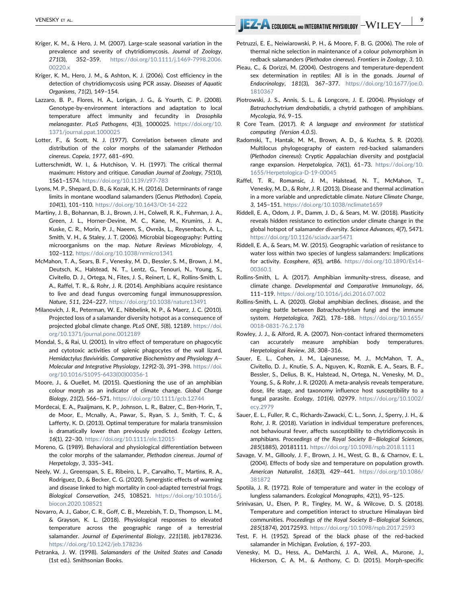- <span id="page-9-8"></span>Kriger, K. M., & Hero, J. M. (2007). Large‐scale seasonal variation in the prevalence and severity of chytridiomycosis. Journal of Zoology, 271(3), 352–359. [https://doi.org/10.1111/j.1469](https://doi.org/10.1111/j.1469-7998.2006.00220.x)‐7998.2006. [00220.x](https://doi.org/10.1111/j.1469-7998.2006.00220.x)
- <span id="page-9-19"></span>Kriger, K. M., Hero, J. M., & Ashton, K. J. (2006). Cost efficiency in the detection of chytridiomycosis using PCR assay. Diseases of Aquatic Organisms, 71(2), 149–154.
- <span id="page-9-22"></span>Lazzaro, B. P., Flores, H. A., Lorigan, J. G., & Yourth, C. P. (2008). Genotype‐by‐environment interactions and adaptation to local temperature affect immunity and fecundity in Drosophila melanogaster. PLoS Pathogens, 4(3), 1000025. [https://doi.org/10.](https://doi.org/10.1371/journal.ppat.1000025) [1371/journal.ppat.1000025](https://doi.org/10.1371/journal.ppat.1000025)
- <span id="page-9-15"></span>Lotter, F., & Scott, N. J. (1977). Correlation between climate and distribution of the color morphs of the salamander Plethodon cinereus. Copeia, 1977, 681–690.
- <span id="page-9-1"></span>Lutterschmidt, W. I., & Hutchison, V. H. (1997). The critical thermal maximum: History and critique. Canadian Journal of Zoology, 75(10), 1561–1574. [https://doi.org/10.1139/z97](https://doi.org/10.1139/z97-783)‐783
- <span id="page-9-33"></span>Lyons, M. P., Shepard, D. B., & Kozak, K. H. (2016). Determinants of range limits in montane woodland salamanders (Genus Plethodon). Copeia, 104(1), 101–110. [https://doi.org/10.1643/Ot](https://doi.org/10.1643/Ot-14-222)‐14‐222
- <span id="page-9-10"></span>Martiny, J. B., Bohannan, B. J., Brown, J. H., Colwell, R. K., Fuhrman, J. A., Green, J. L., Horner‐Devine, M. C., Kane, M., Krumins, J. A., Kuske, C. R., Morin, P. J., Naeem, S., Ovreås, L., Reysenbach, A. L., Smith, V. H., & Staley, J. T. (2006). Microbial biogeography: Putting microorganisms on the map. Nature Reviews Microbiology, 4, 102–112. <https://doi.org/10.1038/nrmicro1341>
- <span id="page-9-9"></span>McMahon, T. A., Sears, B. F., Venesky, M. D., Bessler, S. M., Brown, J. M., Deutsch, K., Halstead, N. T., Lentz, G., Tenouri, N., Young, S., Civitello, D. J., Ortega, N., Fites, J. S., Reinert, L. K., Rollins‐Smith, L. A., Raffel, T. R., & Rohr, J. R. (2014). Amphibians acquire resistance to live and dead fungus overcoming fungal immunosuppression. Nature, 511, 224–227. <https://doi.org/10.1038/nature13491>
- <span id="page-9-29"></span>Milanovich, J. R., Peterman, W. E., Nibbelink, N. P., & Maerz, J. C. (2010). Projected loss of a salamander diversity hotspot as a consequence of projected global climate change. PLoS ONE, 5(8), 12189. [https://doi.](https://doi.org/10.1371/journal.pone.0012189) [org/10.1371/journal.pone.0012189](https://doi.org/10.1371/journal.pone.0012189)
- <span id="page-9-4"></span>Mondal, S., & Rai, U. (2001). In vitro effect of temperature on phagocytic and cytotoxic activities of splenic phagocytes of the wall lizard, Hemidactylus flaviviridis. Comparative Biochemistry and Physiology A— Molecular and Integrative Physiology, 129(2‐3), 391–398. [https://doi.](https://doi.org/10.1016/S1095-6433(00)00356-1) [org/10.1016/S1095](https://doi.org/10.1016/S1095-6433(00)00356-1)‐6433(00)00356‐1
- <span id="page-9-16"></span>Moore, J., & Ouellet, M. (2015). Questioning the use of an amphibian colour morph as an indicator of climate change. Global Change Biology, 21(2), 566–571. <https://doi.org/10.1111/gcb.12744>
- <span id="page-9-5"></span>Mordecai, E. A., Paaijmans, K. P., Johnson, L. R., Balzer, C., Ben‐Horin, T., de Moor, E., Mcnally, A., Pawar, S., Ryan, S. J., Smith, T. C., & Lafferty, K. D. (2013). Optimal temperature for malaria transmission is dramatically lower than previously predicted. Ecology Letters, 16(1), 22–30. <https://doi.org/10.1111/ele.12015>
- <span id="page-9-27"></span>Moreno, G. (1989). Behavioral and physiological differentiation between the color morphs of the salamander, Plethodon cinereus. Journal of Herpetology, 3, 335–341.
- <span id="page-9-25"></span>Neely, W. J., Greenspan, S. E., Ribeiro, L. P., Carvalho, T., Martins, R. A., Rodriguez, D., & Becker, C. G. (2020). Synergistic effects of warming and disease linked to high mortality in cool-adapted terrestrial frogs. Biological Conservation, 245, 108521. [https://doi.org/10.1016/j.](https://doi.org/10.1016/j.biocon.2020.108521) [biocon.2020.108521](https://doi.org/10.1016/j.biocon.2020.108521)
- <span id="page-9-28"></span>Novarro, A. J., Gabor, C. R., Goff, C. B., Mezebish, T. D., Thompson, L. M., & Grayson, K. L. (2018). Physiological responses to elevated temperature across the geographic range of a terrestrial salamander. Journal of Experimental Biology, 221(18), jeb178236. <https://doi.org/10.1242/jeb.178236>
- <span id="page-9-13"></span>Petranka, J. W. (1998). Salamanders of the United States and Canada (1st ed.). Smithsonian Books.

VENESKY ET AL. | 9

- <span id="page-9-21"></span>Petruzzi, E. E., Neiwiarowski, P. H., & Moore, F. B. G. (2006). The role of thermal niche selection in maintenance of a colour polymorphism in redback salamanders (Plethodon cinereus). Frontiers in Zoology, 3, 10.
- <span id="page-9-0"></span>Pieau, C., & Dorizzi, M. (2004). Oestrogens and temperature‐dependent sex determination in reptiles: All is in the gonads. Journal of Endocrinology, 181(3), 367–377. [https://doi.org/10.1677/joe.0.](https://doi.org/10.1677/joe.0.1810367) [1810367](https://doi.org/10.1677/joe.0.1810367)
- <span id="page-9-6"></span>Piotrowski, J. S., Annis, S. L., & Longcore, J. E. (2004). Physiology of Batrachochytrium dendrobatidis, a chytrid pathogen of amphibians. Mycologia, 96, 9–15.
- <span id="page-9-20"></span>R Core Team. (2017). R: A language and environment for statistical computing (Version 4.0.5).
- <span id="page-9-26"></span>Radomski, T., Hantak, M. M., Brown, A. D., & Kuchta, S. R. (2020). Multilocus phylogeography of eastern red‐backed salamanders (Plethodon cinereus): Cryptic Appalachian diversity and postglacial range expansion. Herpetologica, 76(1), 61–73. [https://doi.org/10.](https://doi.org/10.1655/Herpetologica-D-19-00045) [1655/Herpetologica](https://doi.org/10.1655/Herpetologica-D-19-00045)‐D‐19‐00045
- <span id="page-9-18"></span>Raffel, T. R., Romansic, J. M., Halstead, N. T., McMahon, T., Venesky, M. D., & Rohr, J. R. (2013). Disease and thermal acclimation in a more variable and unpredictable climate. Nature Climate Change, 3, 145–151. <https://doi.org/10.1038/nclimate1659>
- <span id="page-9-32"></span>Riddell, E. A., Odom, J. P., Damm, J. D., & Sears, M. W. (2018). Plasticity reveals hidden resistance to extinction under climate change in the global hotspot of salamander diversity. Science Advances, 4(7), 5471. <https://doi.org/10.1126/sciadv.aar5471>
- <span id="page-9-31"></span>Riddell, E. A., & Sears, M. W. (2015). Geographic variation of resistance to water loss within two species of lungless salamanders: Implications for activity. Ecosphere, 6(5), art86. [https://doi.org/10.1890/Es14](https://doi.org/10.1890/Es14-00360.1)‐ [00360.1](https://doi.org/10.1890/Es14-00360.1)
- <span id="page-9-7"></span>Rollins‐Smith, L. A. (2017). Amphibian immunity‐stress, disease, and climate change. Developmental and Comparative Immunology, 66, 111–119. <https://doi.org/10.1016/j.dci.2016.07.002>
- <span id="page-9-23"></span>Rollins‐Smith, L. A. (2020). Global amphibian declines, disease, and the ongoing battle between Batrachochytrium fungi and the immune system. Herpetologica, 76(2), 178–188. [https://doi.org/10.1655/](https://doi.org/10.1655/0018-0831-76.2.178) 0018‐0831‐[76.2.178](https://doi.org/10.1655/0018-0831-76.2.178)
- <span id="page-9-17"></span>Rowley, J. J., & Alford, R. A. (2007). Non‐contact infrared thermometers can accurately measure amphibian body temperatures. Herpetological Review, 38, 308–316.
- <span id="page-9-12"></span>Sauer, E. L., Cohen, J. M., Lajeunesse, M. J., McMahon, T. A., Civitello, D. J., Knutie, S. A., Nguyen, K., Roznik, E. A., Sears, B. F., Bessler, S., Delius, B. K., Halstead, N., Ortega, N., Venesky, M. D., Young, S., & Rohr, J. R. (2020). A meta‐analysis reveals temperature, dose, life stage, and taxonomy influence host susceptibility to a fungal parasite. Ecology, 101(4), 02979. [https://doi.org/10.1002/](https://doi.org/10.1002/ecy.2979) [ecy.2979](https://doi.org/10.1002/ecy.2979)
- <span id="page-9-11"></span>Sauer, E. L., Fuller, R. C., Richards‐Zawacki, C. L., Sonn, J., Sperry, J. H., & Rohr, J. R. (2018). Variation in individual temperature preferences, not behavioural fever, affects susceptibility to chytridiomycosis in amphibians. Proceedings of the Royal Society B—Biological Sciences, 285(1885), 20181111. <https://doi.org/10.1098/rspb.2018.1111>
- <span id="page-9-2"></span>Savage, V. M., Gillooly, J. F., Brown, J. H., West, G. B., & Charnov, E. L. (2004). Effects of body size and temperature on population growth. American Naturalist, 163(3), 429–441. [https://doi.org/10.1086/](https://doi.org/10.1086/381872) [381872](https://doi.org/10.1086/381872)
- <span id="page-9-30"></span>Spotila, J. R. (1972). Role of temperature and water in the ecology of lungless salamanders. Ecological Monographs, 42(1), 95–125.
- <span id="page-9-3"></span>Srinivasan, U., Elsen, P. R., Tingley, M. W., & Wilcove, D. S. (2018). Temperature and competition interact to structure Himalayan bird communities. Proceedings of the Royal Society B—Biological Sciences, 285(1874), 20172593. <https://doi.org/10.1098/rspb.2017.2593>
- <span id="page-9-14"></span>Test, F. H. (1952). Spread of the black phase of the red‐backed salamander in Michigan. Evolution, 6, 197–203.
- <span id="page-9-24"></span>Venesky, M. D., Hess, A., DeMarchi, J. A., Weil, A., Murone, J., Hickerson, C. A. M., & Anthony, C. D. (2015). Morph-specific